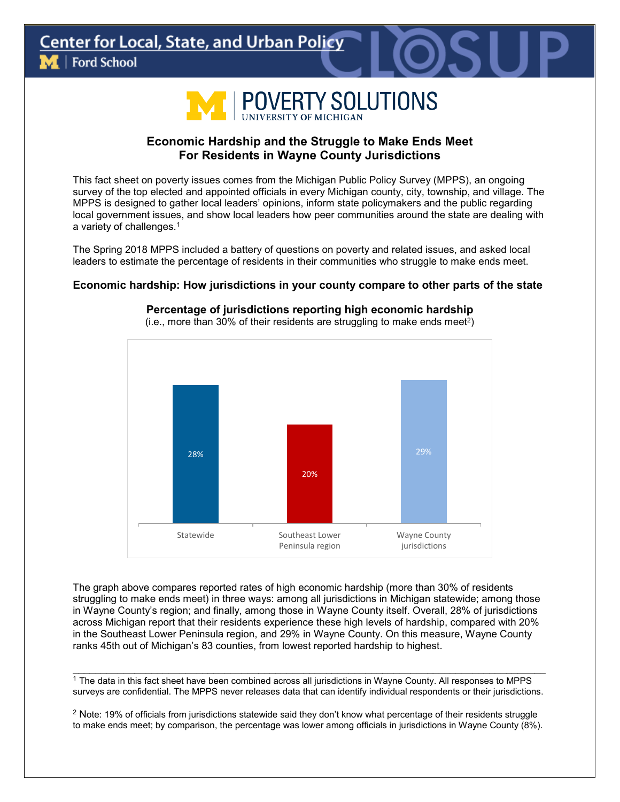

# **Economic Hardship and the Struggle to Make Ends Meet For Residents in Wayne County Jurisdictions**

This fact sheet on poverty issues comes from the Michigan Public Policy Survey (MPPS), an ongoing survey of the top elected and appointed officials in every Michigan county, city, township, and village. The MPPS is designed to gather local leaders' opinions, inform state policymakers and the public regarding local government issues, and show local leaders how peer communities around the state are dealing with a variety of challenges.1

The Spring 2018 MPPS included a battery of questions on poverty and related issues, and asked local leaders to estimate the percentage of residents in their communities who struggle to make ends meet.

### **Economic hardship: How jurisdictions in your county compare to other parts of the state**



**Percentage of jurisdictions reporting high economic hardship** 

The graph above compares reported rates of high economic hardship (more than 30% of residents struggling to make ends meet) in three ways: among all jurisdictions in Michigan statewide; among those in Wayne County's region; and finally, among those in Wayne County itself. Overall, 28% of jurisdictions across Michigan report that their residents experience these high levels of hardship, compared with 20% in the Southeast Lower Peninsula region, and 29% in Wayne County. On this measure, Wayne County ranks 45th out of Michigan's 83 counties, from lowest reported hardship to highest.

\_\_\_\_\_\_\_\_\_\_\_\_\_\_\_\_\_\_\_\_\_\_\_\_\_\_\_\_\_\_\_\_\_\_\_\_\_\_\_\_\_\_\_\_\_\_\_\_\_\_\_\_\_\_\_\_\_\_\_\_\_\_\_\_\_\_\_\_\_\_\_\_\_\_\_\_\_\_\_\_\_\_\_\_  $1$  The data in this fact sheet have been combined across all jurisdictions in Wayne County. All responses to MPPS surveys are confidential. The MPPS never releases data that can identify individual respondents or their jurisdictions.

 $2$  Note: 19% of officials from jurisdictions statewide said they don't know what percentage of their residents struggle to make ends meet; by comparison, the percentage was lower among officials in jurisdictions in Wayne County (8%).